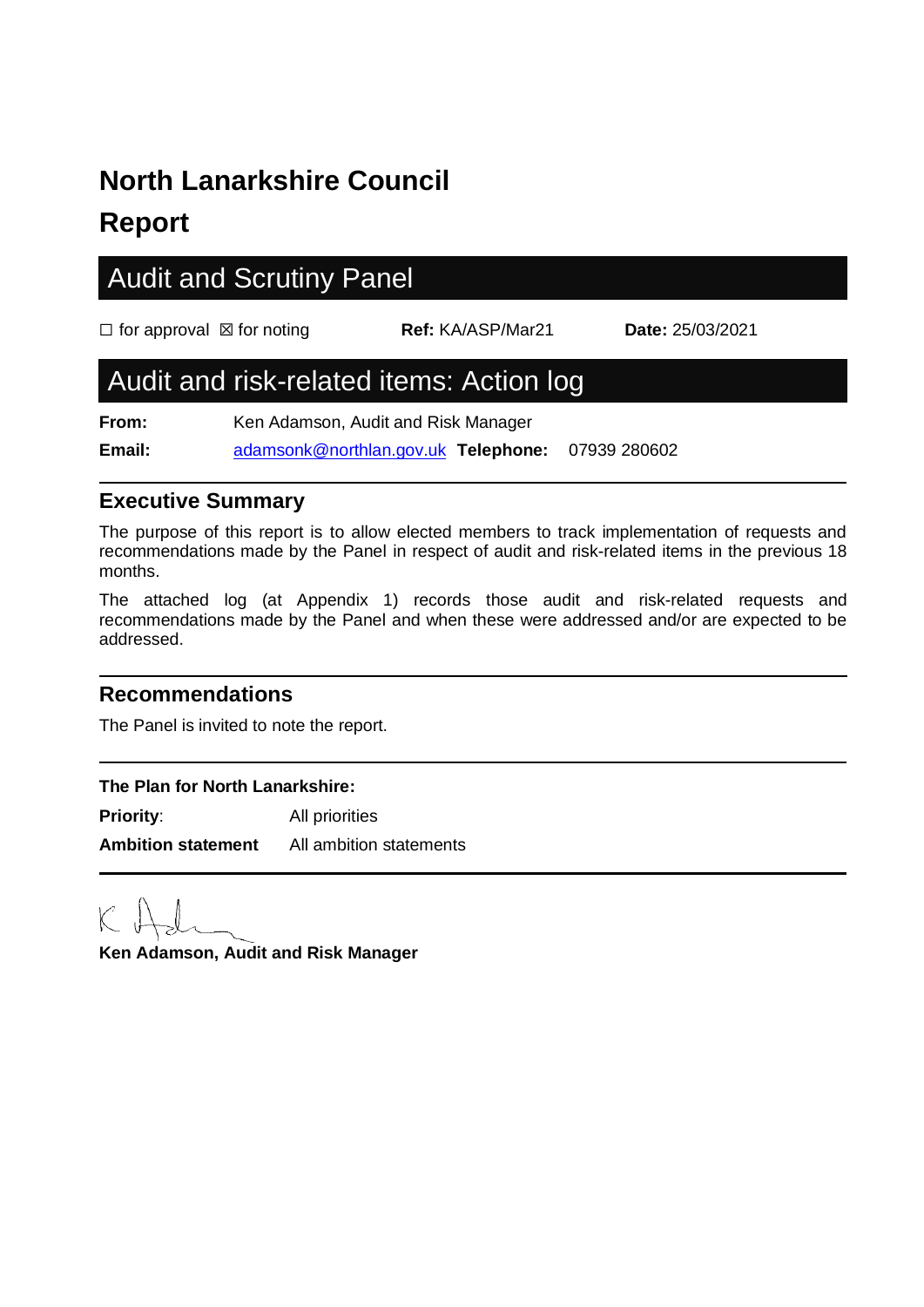# **North Lanarkshire Council**

### **Report**

## Audit and Scrutiny Panel

| $\Box$ for approval $\boxtimes$ for noting |                                     | <b>Ref: KA/ASP/Mar21</b>                 | <b>Date: 25/03/2021</b> |
|--------------------------------------------|-------------------------------------|------------------------------------------|-------------------------|
|                                            |                                     | Audit and risk-related items: Action log |                         |
| From:                                      | Ken Adamson, Audit and Risk Manager |                                          |                         |

**Email:** [adamsonk@northlan.gov.uk](mailto:adamsonk@northlan.gov.uk) **Telephone:** 07939 280602

#### **Executive Summary**

The purpose of this report is to allow elected members to track implementation of requests and recommendations made by the Panel in respect of audit and risk-related items in the previous 18 months.

The attached log (at Appendix 1) records those audit and risk-related requests and recommendations made by the Panel and when these were addressed and/or are expected to be addressed.

#### **Recommendations**

The Panel is invited to note the report.

#### **The Plan for North Lanarkshire: Priority:** All priorities

**Ambition statement** All ambition statements

**Ken Adamson, Audit and Risk Manager**